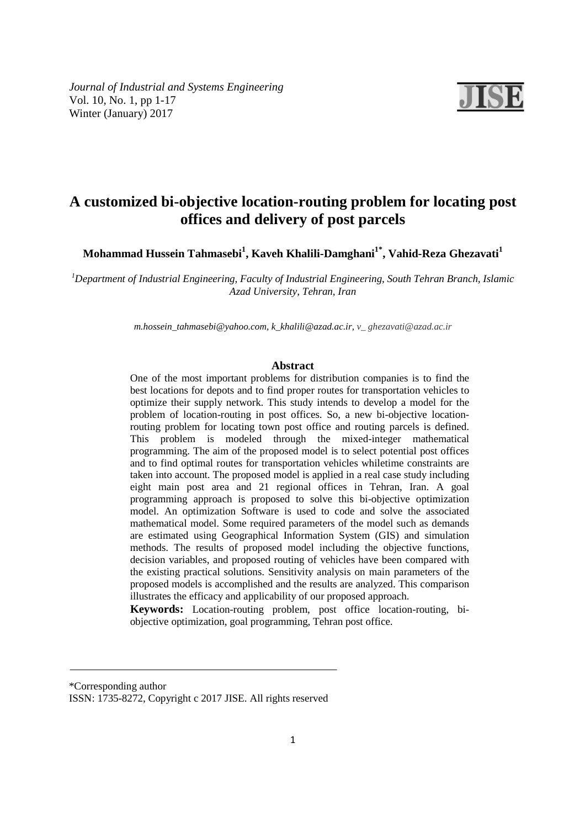*Journal of Industrial and Systems Engineering*  Vol. 10, No. 1, pp 1-17 Winter (January) 2017



# **A customized bi-objective location-routing problem for locating post offices and delivery of post parcels**

**Mohammad Hussein Tahmasebi<sup>1</sup> , Kaveh Khalili-Damghani1\*, Vahid-Reza Ghezavati<sup>1</sup>**

*<sup>1</sup>Department of Industrial Engineering, Faculty of Industrial Engineering, South Tehran Branch, Islamic Azad University, Tehran, Iran* 

*m.hossein\_tahmasebi@yahoo.com, k\_khalili@azad.ac.ir, v\_ ghezavati@azad.ac.ir*

# **Abstract**

One of the most important problems for distribution companies is to find the best locations for depots and to find proper routes for transportation vehicles to optimize their supply network. This study intends to develop a model for the problem of location-routing in post offices. So, a new bi-objective locationrouting problem for locating town post office and routing parcels is defined. This problem is modeled through the mixed-integer mathematical programming. The aim of the proposed model is to select potential post offices and to find optimal routes for transportation vehicles whiletime constraints are taken into account. The proposed model is applied in a real case study including eight main post area and 21 regional offices in Tehran, Iran. A goal programming approach is proposed to solve this bi-objective optimization model. An optimization Software is used to code and solve the associated mathematical model. Some required parameters of the model such as demands are estimated using Geographical Information System (GIS) and simulation methods. The results of proposed model including the objective functions, decision variables, and proposed routing of vehicles have been compared with the existing practical solutions. Sensitivity analysis on main parameters of the proposed models is accomplished and the results are analyzed. This comparison illustrates the efficacy and applicability of our proposed approach.

**Keywords:** Location-routing problem, post office location-routing, biobjective optimization, goal programming, Tehran post office.

\*Corresponding author

ISSN: 1735-8272, Copyright c 2017 JISE. All rights reserved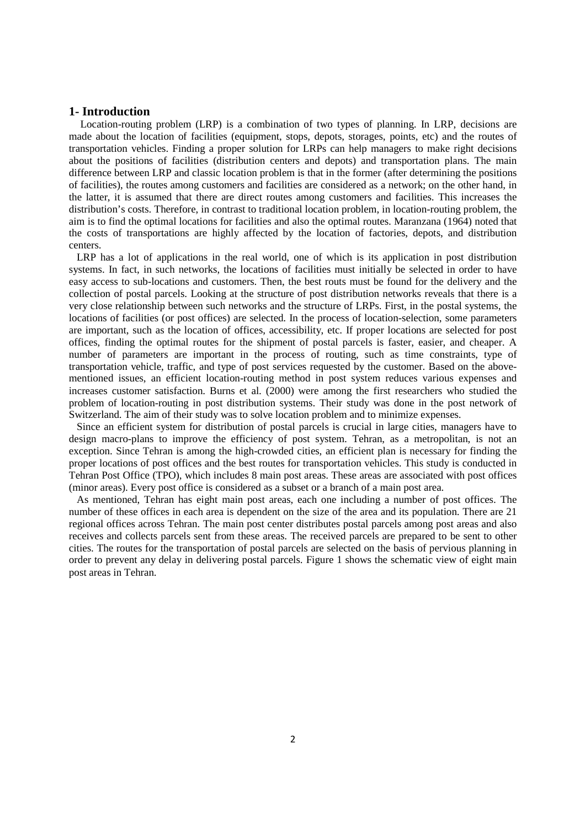## **1- Introduction**

 Location-routing problem (LRP) is a combination of two types of planning. In LRP, decisions are made about the location of facilities (equipment, stops, depots, storages, points, etc) and the routes of transportation vehicles. Finding a proper solution for LRPs can help managers to make right decisions about the positions of facilities (distribution centers and depots) and transportation plans. The main difference between LRP and classic location problem is that in the former (after determining the positions of facilities), the routes among customers and facilities are considered as a network; on the other hand, in the latter, it is assumed that there are direct routes among customers and facilities. This increases the distribution's costs. Therefore, in contrast to traditional location problem, in location-routing problem, the aim is to find the optimal locations for facilities and also the optimal routes. Maranzana (1964) noted that the costs of transportations are highly affected by the location of factories, depots, and distribution centers.

 LRP has a lot of applications in the real world, one of which is its application in post distribution systems. In fact, in such networks, the locations of facilities must initially be selected in order to have easy access to sub-locations and customers. Then, the best routs must be found for the delivery and the collection of postal parcels. Looking at the structure of post distribution networks reveals that there is a very close relationship between such networks and the structure of LRPs. First, in the postal systems, the locations of facilities (or post offices) are selected. In the process of location-selection, some parameters are important, such as the location of offices, accessibility, etc. If proper locations are selected for post offices, finding the optimal routes for the shipment of postal parcels is faster, easier, and cheaper. A number of parameters are important in the process of routing, such as time constraints, type of transportation vehicle, traffic, and type of post services requested by the customer. Based on the abovementioned issues, an efficient location-routing method in post system reduces various expenses and increases customer satisfaction. Burns et al. (2000) were among the first researchers who studied the problem of location-routing in post distribution systems. Their study was done in the post network of Switzerland. The aim of their study was to solve location problem and to minimize expenses.

 Since an efficient system for distribution of postal parcels is crucial in large cities, managers have to design macro-plans to improve the efficiency of post system. Tehran, as a metropolitan, is not an exception. Since Tehran is among the high-crowded cities, an efficient plan is necessary for finding the proper locations of post offices and the best routes for transportation vehicles. This study is conducted in Tehran Post Office (TPO), which includes 8 main post areas. These areas are associated with post offices (minor areas). Every post office is considered as a subset or a branch of a main post area.

 As mentioned, Tehran has eight main post areas, each one including a number of post offices. The number of these offices in each area is dependent on the size of the area and its population. There are 21 regional offices across Tehran. The main post center distributes postal parcels among post areas and also receives and collects parcels sent from these areas. The received parcels are prepared to be sent to other cities. The routes for the transportation of postal parcels are selected on the basis of pervious planning in order to prevent any delay in delivering postal parcels. Figure 1 shows the schematic view of eight main post areas in Tehran.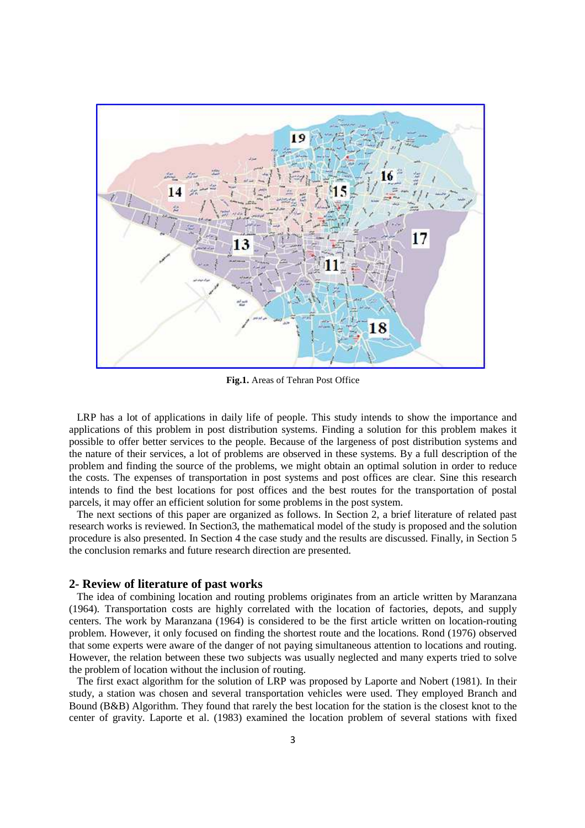

**Fig.1.** Areas of Tehran Post Office

 LRP has a lot of applications in daily life of people. This study intends to show the importance and applications of this problem in post distribution systems. Finding a solution for this problem makes it possible to offer better services to the people. Because of the largeness of post distribution systems and the nature of their services, a lot of problems are observed in these systems. By a full description of the problem and finding the source of the problems, we might obtain an optimal solution in order to reduce the costs. The expenses of transportation in post systems and post offices are clear. Sine this research intends to find the best locations for post offices and the best routes for the transportation of postal parcels, it may offer an efficient solution for some problems in the post system.

 The next sections of this paper are organized as follows. In Section 2, a brief literature of related past research works is reviewed. In Section3, the mathematical model of the study is proposed and the solution procedure is also presented. In Section 4 the case study and the results are discussed. Finally, in Section 5 the conclusion remarks and future research direction are presented.

## **2- Review of literature of past works**

 The idea of combining location and routing problems originates from an article written by Maranzana (1964). Transportation costs are highly correlated with the location of factories, depots, and supply centers. The work by Maranzana (1964) is considered to be the first article written on location-routing problem. However, it only focused on finding the shortest route and the locations. Rond (1976) observed that some experts were aware of the danger of not paying simultaneous attention to locations and routing. However, the relation between these two subjects was usually neglected and many experts tried to solve the problem of location without the inclusion of routing.

 The first exact algorithm for the solution of LRP was proposed by Laporte and Nobert (1981). In their study, a station was chosen and several transportation vehicles were used. They employed Branch and Bound (B&B) Algorithm. They found that rarely the best location for the station is the closest knot to the center of gravity. Laporte et al. (1983) examined the location problem of several stations with fixed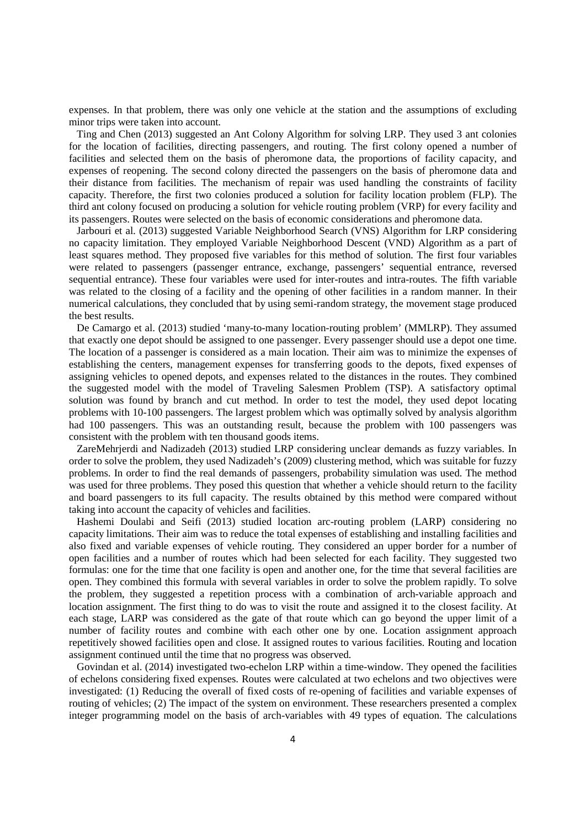expenses. In that problem, there was only one vehicle at the station and the assumptions of excluding minor trips were taken into account.

 Ting and Chen (2013) suggested an Ant Colony Algorithm for solving LRP. They used 3 ant colonies for the location of facilities, directing passengers, and routing. The first colony opened a number of facilities and selected them on the basis of pheromone data, the proportions of facility capacity, and expenses of reopening. The second colony directed the passengers on the basis of pheromone data and their distance from facilities. The mechanism of repair was used handling the constraints of facility capacity. Therefore, the first two colonies produced a solution for facility location problem (FLP). The third ant colony focused on producing a solution for vehicle routing problem (VRP) for every facility and its passengers. Routes were selected on the basis of economic considerations and pheromone data.

 Jarbouri et al. (2013) suggested Variable Neighborhood Search (VNS) Algorithm for LRP considering no capacity limitation. They employed Variable Neighborhood Descent (VND) Algorithm as a part of least squares method. They proposed five variables for this method of solution. The first four variables were related to passengers (passenger entrance, exchange, passengers' sequential entrance, reversed sequential entrance). These four variables were used for inter-routes and intra-routes. The fifth variable was related to the closing of a facility and the opening of other facilities in a random manner. In their numerical calculations, they concluded that by using semi-random strategy, the movement stage produced the best results.

 De Camargo et al. (2013) studied 'many-to-many location-routing problem' (MMLRP). They assumed that exactly one depot should be assigned to one passenger. Every passenger should use a depot one time. The location of a passenger is considered as a main location. Their aim was to minimize the expenses of establishing the centers, management expenses for transferring goods to the depots, fixed expenses of assigning vehicles to opened depots, and expenses related to the distances in the routes. They combined the suggested model with the model of Traveling Salesmen Problem (TSP). A satisfactory optimal solution was found by branch and cut method. In order to test the model, they used depot locating problems with 10-100 passengers. The largest problem which was optimally solved by analysis algorithm had 100 passengers. This was an outstanding result, because the problem with 100 passengers was consistent with the problem with ten thousand goods items.

 ZareMehrjerdi and Nadizadeh (2013) studied LRP considering unclear demands as fuzzy variables. In order to solve the problem, they used Nadizadeh's (2009) clustering method, which was suitable for fuzzy problems. In order to find the real demands of passengers, probability simulation was used. The method was used for three problems. They posed this question that whether a vehicle should return to the facility and board passengers to its full capacity. The results obtained by this method were compared without taking into account the capacity of vehicles and facilities.

 Hashemi Doulabi and Seifi (2013) studied location arc-routing problem (LARP) considering no capacity limitations. Their aim was to reduce the total expenses of establishing and installing facilities and also fixed and variable expenses of vehicle routing. They considered an upper border for a number of open facilities and a number of routes which had been selected for each facility. They suggested two formulas: one for the time that one facility is open and another one, for the time that several facilities are open. They combined this formula with several variables in order to solve the problem rapidly. To solve the problem, they suggested a repetition process with a combination of arch-variable approach and location assignment. The first thing to do was to visit the route and assigned it to the closest facility. At each stage, LARP was considered as the gate of that route which can go beyond the upper limit of a number of facility routes and combine with each other one by one. Location assignment approach repetitively showed facilities open and close. It assigned routes to various facilities. Routing and location assignment continued until the time that no progress was observed.

 Govindan et al. (2014) investigated two-echelon LRP within a time-window. They opened the facilities of echelons considering fixed expenses. Routes were calculated at two echelons and two objectives were investigated: (1) Reducing the overall of fixed costs of re-opening of facilities and variable expenses of routing of vehicles; (2) The impact of the system on environment. These researchers presented a complex integer programming model on the basis of arch-variables with 49 types of equation. The calculations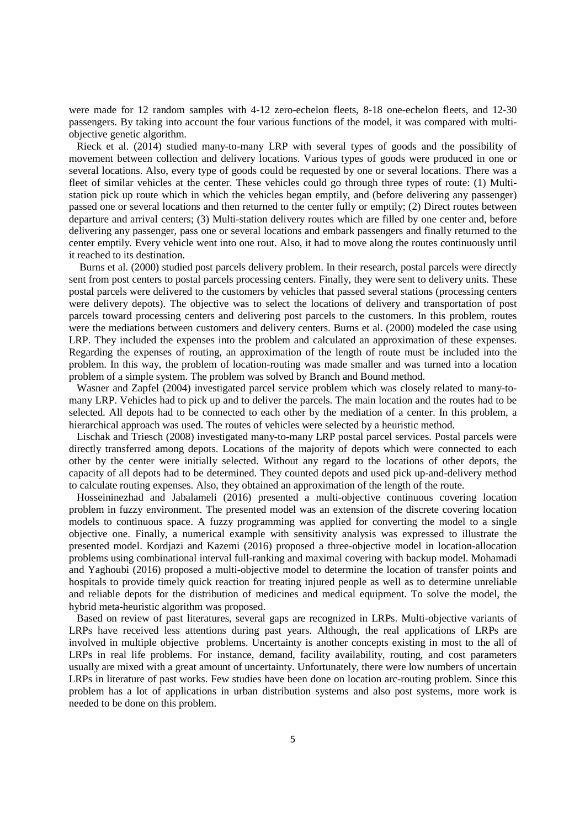were made for 12 random samples with 4-12 zero-echelon fleets, 8-18 one-echelon fleets, and 12-30 passengers. By taking into account the four various functions of the model, it was compared with multiobjective genetic algorithm.

 Rieck et al. (2014) studied many-to-many LRP with several types of goods and the possibility of movement between collection and delivery locations. Various types of goods were produced in one or several locations. Also, every type of goods could be requested by one or several locations. There was a fleet of similar vehicles at the center. These vehicles could go through three types of route: (1) Multistation pick up route which in which the vehicles began emptily, and (before delivering any passenger) passed one or several locations and then returned to the center fully or emptily; (2) Direct routes between departure and arrival centers; (3) Multi-station delivery routes which are filled by one center and, before delivering any passenger, pass one or several locations and embark passengers and finally returned to the center emptily. Every vehicle went into one rout. Also, it had to move along the routes continuously until it reached to its destination.

 Burns et al. (2000) studied post parcels delivery problem. In their research, postal parcels were directly sent from post centers to postal parcels processing centers. Finally, they were sent to delivery units. These postal parcels were delivered to the customers by vehicles that passed several stations (processing centers were delivery depots). The objective was to select the locations of delivery and transportation of post parcels toward processing centers and delivering post parcels to the customers. In this problem, routes were the mediations between customers and delivery centers. Burns et al. (2000) modeled the case using LRP. They included the expenses into the problem and calculated an approximation of these expenses. Regarding the expenses of routing, an approximation of the length of route must be included into the problem. In this way, the problem of location-routing was made smaller and was turned into a location problem of a simple system. The problem was solved by Branch and Bound method.

 Wasner and Zapfel (2004) investigated parcel service problem which was closely related to many-tomany LRP. Vehicles had to pick up and to deliver the parcels. The main location and the routes had to be selected. All depots had to be connected to each other by the mediation of a center. In this problem, a hierarchical approach was used. The routes of vehicles were selected by a heuristic method.

 Lischak and Triesch (2008) investigated many-to-many LRP postal parcel services. Postal parcels were directly transferred among depots. Locations of the majority of depots which were connected to each other by the center were initially selected. Without any regard to the locations of other depots, the capacity of all depots had to be determined. They counted depots and used pick up-and-delivery method to calculate routing expenses. Also, they obtained an approximation of the length of the route.

 Hosseininezhad and Jabalameli (2016) presented a multi-objective continuous covering location problem in fuzzy environment. The presented model was an extension of the discrete covering location models to continuous space. A fuzzy programming was applied for converting the model to a single objective one. Finally, a numerical example with sensitivity analysis was expressed to illustrate the presented model. Kordjazi and Kazemi (2016) proposed a three-objective model in location-allocation problems using combinational interval full-ranking and maximal covering with backup model. Mohamadi and Yaghoubi (2016) proposed a multi-objective model to determine the location of transfer points and hospitals to provide timely quick reaction for treating injured people as well as to determine unreliable and reliable depots for the distribution of medicines and medical equipment. To solve the model, the hybrid meta-heuristic algorithm was proposed.

 Based on review of past literatures, several gaps are recognized in LRPs. Multi-objective variants of LRPs have received less attentions during past years. Although, the real applications of LRPs are involved in multiple objective problems. Uncertainty is another concepts existing in most to the all of LRPs in real life problems. For instance, demand, facility availability, routing, and cost parameters usually are mixed with a great amount of uncertainty. Unfortunately, there were low numbers of uncertain LRPs in literature of past works. Few studies have been done on location arc-routing problem. Since this problem has a lot of applications in urban distribution systems and also post systems, more work is needed to be done on this problem.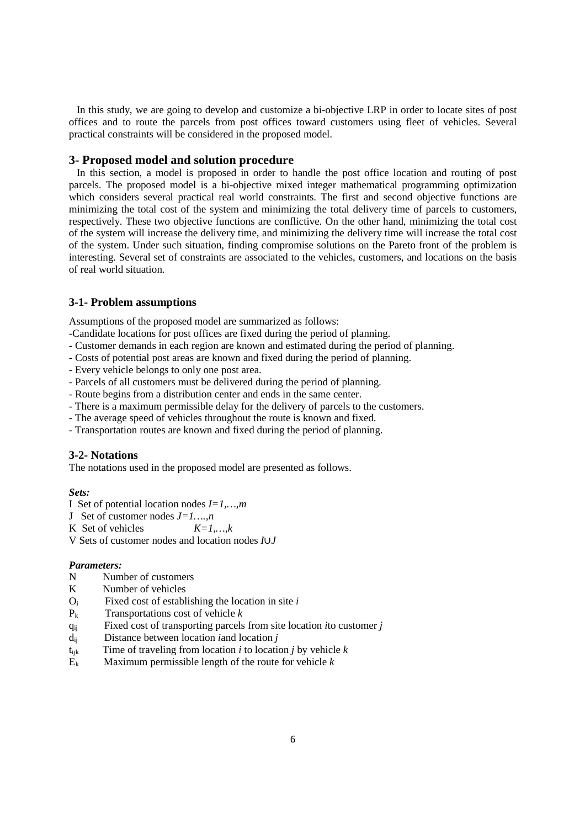In this study, we are going to develop and customize a bi-objective LRP in order to locate sites of post offices and to route the parcels from post offices toward customers using fleet of vehicles. Several practical constraints will be considered in the proposed model.

## **3- Proposed model and solution procedure**

In this section, a model is proposed in order to handle the post office location and routing of post parcels. The proposed model is a bi-objective mixed integer mathematical programming optimization which considers several practical real world constraints. The first and second objective functions are minimizing the total cost of the system and minimizing the total delivery time of parcels to customers, respectively. These two objective functions are conflictive. On the other hand, minimizing the total cost of the system will increase the delivery time, and minimizing the delivery time will increase the total cost of the system. Under such situation, finding compromise solutions on the Pareto front of the problem is interesting. Several set of constraints are associated to the vehicles, customers, and locations on the basis of real world situation.

#### **3-1- Problem assumptions**

Assumptions of the proposed model are summarized as follows:

- -Candidate locations for post offices are fixed during the period of planning.
- Customer demands in each region are known and estimated during the period of planning.
- Costs of potential post areas are known and fixed during the period of planning.
- Every vehicle belongs to only one post area.
- Parcels of all customers must be delivered during the period of planning.
- Route begins from a distribution center and ends in the same center.
- There is a maximum permissible delay for the delivery of parcels to the customers.
- The average speed of vehicles throughout the route is known and fixed.
- Transportation routes are known and fixed during the period of planning.

#### **3-2- Notations**

The notations used in the proposed model are presented as follows.

# *Sets:*

- I Set of potential location nodes *I=1,…,m*
- J Set of customer nodes *J=1….,n*
- K Set of vehicles  $K=1, k$
- V Sets of customer nodes and location nodes *I*∪*J*

### *Parameters:*

- N Number of customers
- K Number of vehicles
- Oi Fixed cost of establishing the location in site *i*
- Pk Transportations cost of vehicle *k*
- qij Fixed cost of transporting parcels from site location *i*to customer *j*
- dij Distance between location *i*and location *j*
- $t_{ijk}$  Time of traveling from location *i* to location *j* by vehicle *k*
- $\mathbf{E}_k$  Maximum permissible length of the route for vehicle  $k$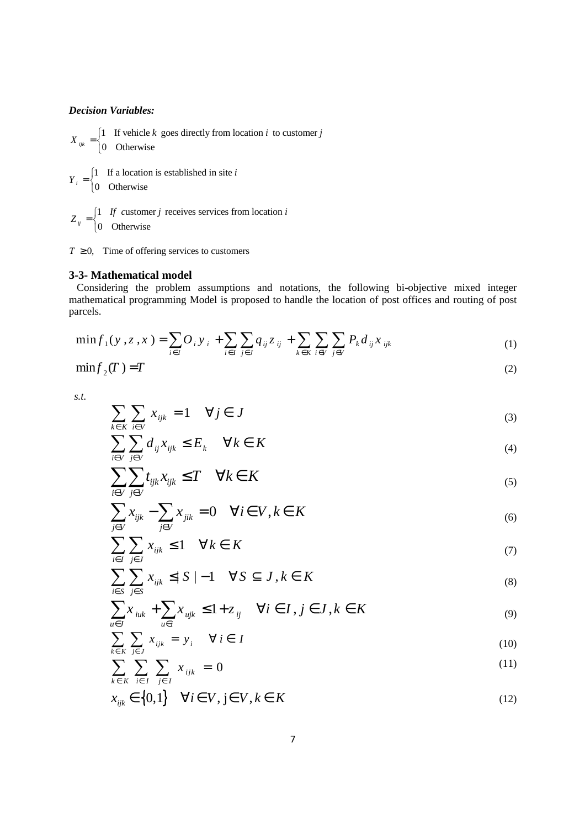## *Decision Variables:*

1 If vehicle  $k$  goes directly from location  $i$  to customer  $e^{ijk}$  | 0 Otherwise  $X_{ijk} = \begin{cases} 1 & \text{If vehicle } k \text{ goes directly from location } i \text{ to customer } j \\ 0 & \text{or} \end{cases}$  $\overline{\mathfrak{l}}$ 

1 If a location is established in site  $\binom{i}{i}$  0 Otherwise  $Y_i = \begin{cases} 1 & \text{If a location is established in site } i \\ 0 & \text{or } i \end{cases}$  $\overline{\mathfrak{l}}$ 

1 If customer  $j$  receives services from location  $\int_0^{ij}$  0 Otherwise  $Z_{ii} = \begin{cases} 1 & \text{if } i \neq j \\ 0 & \text{if } i \neq j \end{cases}$  receives services from location *i*  $\overline{\mathfrak{l}}$ 

 $T \geq 0$ , Time of offering services to customers

# **3-3- Mathematical model**

 Considering the problem assumptions and notations, the following bi-objective mixed integer mathematical programming Model is proposed to handle the location of post offices and routing of post parcels.

$$
\min f_1(y, z, x) = \sum_{i \in I} O_i y_i + \sum_{i \in I} \sum_{j \in J} q_{ij} z_{ij} + \sum_{k \in K} \sum_{i \in V} \sum_{j \in V} P_k d_{ij} x_{ijk}
$$
(1)

$$
\min f_2(T) = T \tag{2}
$$

*s.t.*

$$
\sum_{k \in K} \sum_{i \in V} x_{ijk} = 1 \quad \forall j \in J \tag{3}
$$

$$
\sum_{i \in V} \sum_{j \in V} d_{ij} x_{ijk} \le E_k \quad \forall k \in K \tag{4}
$$

$$
\sum_{i\in V} \sum_{j\in V} t_{ijk} x_{ijk} \le T \quad \forall k \in K \tag{5}
$$

$$
\sum_{j\in V} x_{ijk} - \sum_{j\in V} x_{jik} = 0 \quad \forall i \in V, k \in K
$$
 (6)

$$
\sum_{i \in I} \sum_{j \in J} x_{ijk} \le 1 \quad \forall k \in K \tag{7}
$$

$$
\sum_{i \in S} \sum_{j \in S} x_{ijk} \le |S| - 1 \quad \forall S \subseteq J, k \in K
$$
\n(8)

$$
\sum_{u \in J} x_{iuk} + \sum_{u \in i} x_{ujk} \le 1 + z_{ij} \quad \forall i \in I, j \in J, k \in K
$$
\n<sup>(9)</sup>

$$
\sum_{k \in K} \sum_{j \in J} x_{ijk} = y_i \quad \forall i \in I
$$
\n(10)

$$
\sum_{k \in K} \sum_{i \in I} \sum_{j \in I} x_{ijk} = 0 \tag{11}
$$

$$
x_{ijk} \in \{0,1\} \quad \forall i \in V, j \in V, k \in K \tag{12}
$$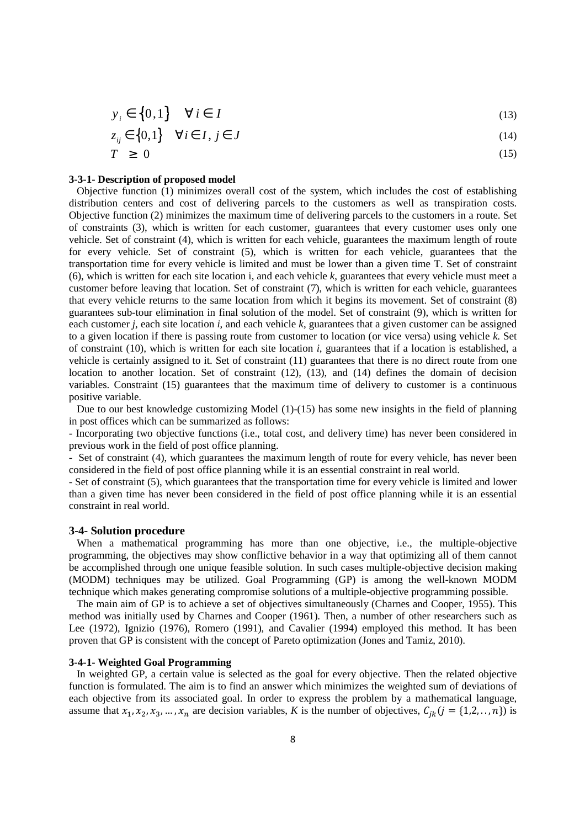$$
y_i \in \{0, 1\} \quad \forall \, i \in I \tag{13}
$$

$$
z_{ij} \in \{0,1\} \quad \forall i \in I, j \in J \tag{14}
$$

$$
T \geq 0 \tag{15}
$$

## **3-3-1- Description of proposed model**

 Objective function (1) minimizes overall cost of the system, which includes the cost of establishing distribution centers and cost of delivering parcels to the customers as well as transpiration costs. Objective function (2) minimizes the maximum time of delivering parcels to the customers in a route. Set of constraints (3), which is written for each customer, guarantees that every customer uses only one vehicle. Set of constraint (4), which is written for each vehicle, guarantees the maximum length of route for every vehicle. Set of constraint (5), which is written for each vehicle, guarantees that the transportation time for every vehicle is limited and must be lower than a given time T. Set of constraint (6), which is written for each site location i, and each vehicle *k*, guarantees that every vehicle must meet a customer before leaving that location. Set of constraint (7), which is written for each vehicle, guarantees that every vehicle returns to the same location from which it begins its movement. Set of constraint (8) guarantees sub-tour elimination in final solution of the model. Set of constraint (9), which is written for each customer *j*, each site location *i*, and each vehicle *k*, guarantees that a given customer can be assigned to a given location if there is passing route from customer to location (or vice versa) using vehicle *k*. Set of constraint (10), which is written for each site location *i*, guarantees that if a location is established, a vehicle is certainly assigned to it. Set of constraint (11) guarantees that there is no direct route from one location to another location. Set of constraint (12), (13), and (14) defines the domain of decision variables. Constraint (15) guarantees that the maximum time of delivery to customer is a continuous positive variable.

Due to our best knowledge customizing Model (1)-(15) has some new insights in the field of planning in post offices which can be summarized as follows:

- Incorporating two objective functions (i.e., total cost, and delivery time) has never been considered in previous work in the field of post office planning.

- Set of constraint (4), which guarantees the maximum length of route for every vehicle, has never been considered in the field of post office planning while it is an essential constraint in real world.

- Set of constraint (5), which guarantees that the transportation time for every vehicle is limited and lower than a given time has never been considered in the field of post office planning while it is an essential constraint in real world.

## **3-4- Solution procedure**

 When a mathematical programming has more than one objective, i.e., the multiple-objective programming, the objectives may show conflictive behavior in a way that optimizing all of them cannot be accomplished through one unique feasible solution. In such cases multiple-objective decision making (MODM) techniques may be utilized. Goal Programming (GP) is among the well-known MODM technique which makes generating compromise solutions of a multiple-objective programming possible.

 The main aim of GP is to achieve a set of objectives simultaneously (Charnes and Cooper, 1955). This method was initially used by Charnes and Cooper (1961). Then, a number of other researchers such as Lee (1972), Ignizio (1976), Romero (1991), and Cavalier (1994) employed this method. It has been proven that GP is consistent with the concept of Pareto optimization (Jones and Tamiz, 2010).

## **3-4-1- Weighted Goal Programming**

 In weighted GP, a certain value is selected as the goal for every objective. Then the related objective function is formulated. The aim is to find an answer which minimizes the weighted sum of deviations of each objective from its associated goal. In order to express the problem by a mathematical language, assume that  $x_1, x_2, x_3, ..., x_n$  are decision variables, *K* is the number of objectives,  $C_{jk}(j = \{1,2, ..., n\})$  is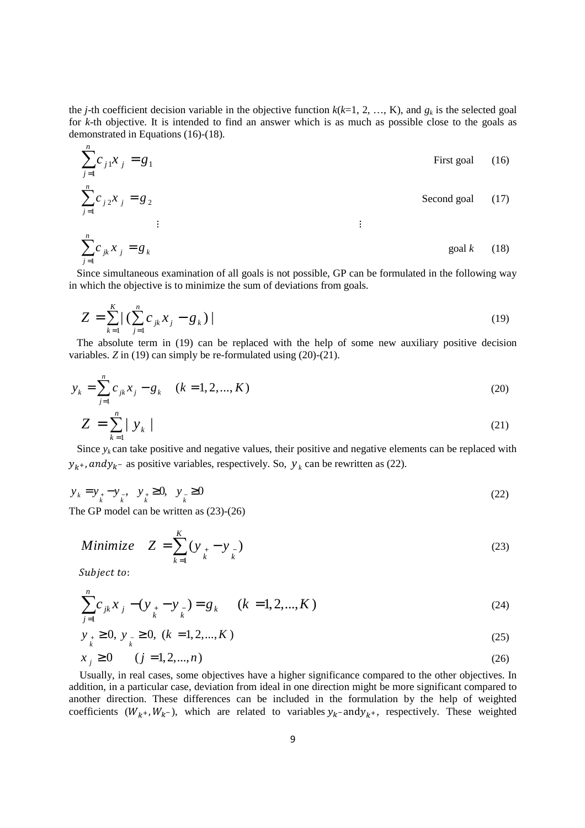the *j*-th coefficient decision variable in the objective function  $k(k=1, 2, ..., K)$ , and  $g_k$  is the selected goal for *k*-th objective. It is intended to find an answer which is as much as possible close to the goals as demonstrated in Equations (16)-(18).

$$
\sum_{j=1}^{n} C_{j1} x_{j} = g_{1}
$$
First goal (16)  

$$
\sum_{j=1}^{n} C_{j2} x_{j} = g_{2}
$$
Second goal (17)  
:

$$
\sum_{j=1}^{n} c_{jk} x_j = g_k \qquad \text{goal } k \qquad (18)
$$

 Since simultaneous examination of all goals is not possible, GP can be formulated in the following way in which the objective is to minimize the sum of deviations from goals.

$$
Z = \sum_{k=1}^{K} \left| \left( \sum_{j=1}^{n} c_{jk} x_j - g_k \right) \right| \tag{19}
$$

 The absolute term in (19) can be replaced with the help of some new auxiliary positive decision variables. *Z* in (19) can simply be re-formulated using (20)-(21).

$$
y_k = \sum_{j=1}^n c_{jk} x_j - g_k \quad (k = 1, 2, ..., K)
$$
\n(20)

$$
Z = \sum_{k=1}^{n} |y_k| \tag{21}
$$

Since  $y_k$  can take positive and negative values, their positive and negative elements can be replaced with  $y_{k}$ , and  $y_{k}$  as positive variables, respectively. So,  $y_{k}$  can be rewritten as (22).

$$
y_k = y_{k-1} - y_{k-1}, \quad y_k \ge 0, \quad y_{k-1} \ge 0
$$
\n
$$
(22)
$$

The GP model can be written as (23)-(26)

Minimize 
$$
Z = \sum_{k=1}^{K} (y_{k} - y_{k})
$$
 (23)

Subject to:

*n*

$$
\sum_{j=1}^{n} c_{jk} x_j - (y_{k} - y_{k}) = g_k \qquad (k = 1, 2, ..., K)
$$
\n(24)

$$
y_{k} \ge 0, y_{k} \ge 0, (k = 1, 2, ..., K)
$$
\n<sup>(25)</sup>

$$
x_j \ge 0 \t(j = 1, 2, ..., n) \t(26)
$$

 Usually, in real cases, some objectives have a higher significance compared to the other objectives. In addition, in a particular case, deviation from ideal in one direction might be more significant compared to another direction. These differences can be included in the formulation by the help of weighted coefficients  $(W_{k^+}, W_{k^-})$ , which are related to variables  $y_k$ -and $y_{k^+}$ , respectively. These weighted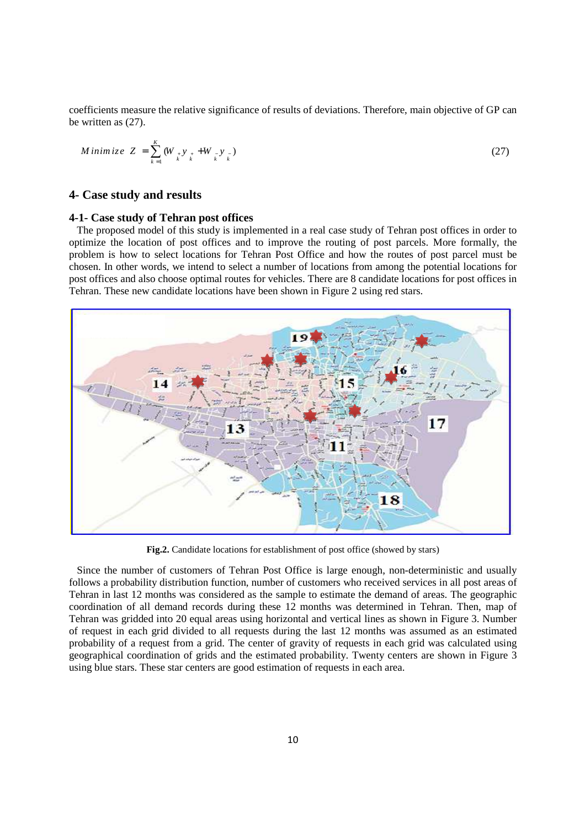coefficients measure the relative significance of results of deviations. Therefore, main objective of GP can be written as (27).

$$
Minimize Z = \sum_{k=1}^{K} (W_{\nu_k} y_{\nu_k} + W_{\nu_k} y_{\nu_k})
$$
\n(27)

# **4- Case study and results**

## **4-1- Case study of Tehran post offices**

 The proposed model of this study is implemented in a real case study of Tehran post offices in order to optimize the location of post offices and to improve the routing of post parcels. More formally, the problem is how to select locations for Tehran Post Office and how the routes of post parcel must be chosen. In other words, we intend to select a number of locations from among the potential locations for post offices and also choose optimal routes for vehicles. There are 8 candidate locations for post offices in Tehran. These new candidate locations have been shown in Figure 2 using red stars.



**Fig.2.** Candidate locations for establishment of post office (showed by stars)

 Since the number of customers of Tehran Post Office is large enough, non-deterministic and usually follows a probability distribution function, number of customers who received services in all post areas of Tehran in last 12 months was considered as the sample to estimate the demand of areas. The geographic coordination of all demand records during these 12 months was determined in Tehran. Then, map of Tehran was gridded into 20 equal areas using horizontal and vertical lines as shown in Figure 3. Number of request in each grid divided to all requests during the last 12 months was assumed as an estimated probability of a request from a grid. The center of gravity of requests in each grid was calculated using geographical coordination of grids and the estimated probability. Twenty centers are shown in Figure 3 using blue stars. These star centers are good estimation of requests in each area.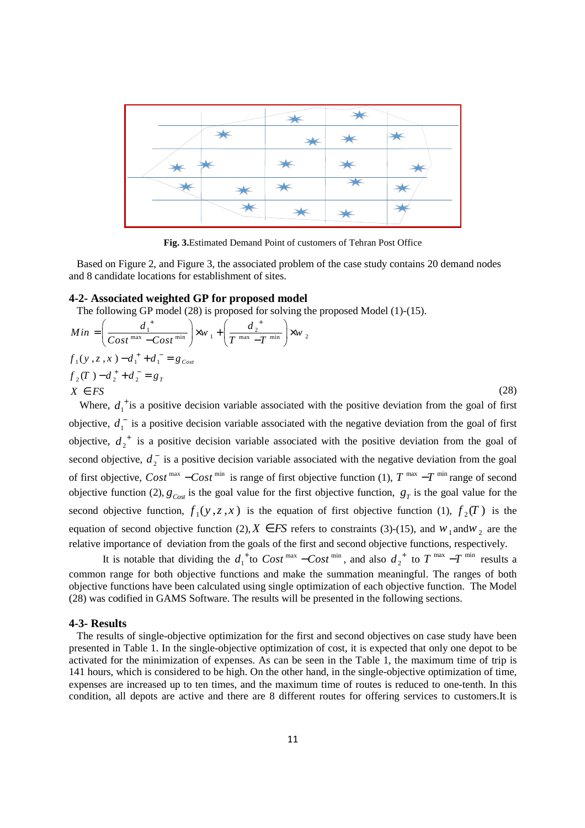|   |                         | ∸          |                   |  |
|---|-------------------------|------------|-------------------|--|
|   | $\frac{1}{\sqrt{2}}$    |            | ╇                 |  |
| ᆇ |                         | ☀          | <sup></sup>       |  |
|   | $\bigstar$              | $\bigstar$ | $\overline{\ast}$ |  |
|   | $\overline{\textbf{v}}$ |            |                   |  |

**Fig. 3.**Estimated Demand Point of customers of Tehran Post Office

 Based on Figure 2, and Figure 3, the associated problem of the case study contains 20 demand nodes and 8 candidate locations for establishment of sites.

# **4-2- Associated weighted GP for proposed model**

The following GP model (28) is proposed for solving the proposed Model (1)-(15).

$$
Min = \left(\frac{d_1^+}{Cost^{max} - Cost^{min}}\right) \times w_1 + \left(\frac{d_2^+}{T^{max} - T^{min}}\right) \times w_2
$$
  
\n $f_1(y, z, x) - d_1^+ + d_1^- = g_{Cost}$   
\n $f_2(T) - d_2^+ + d_2^- = g_T$   
\n $X \in FS$  (28)

Where,  $d_1^{\dagger}$  is a positive decision variable associated with the positive deviation from the goal of first objective,  $d_1^-$  is a positive decision variable associated with the negative deviation from the goal of first objective,  $d_2^+$  is a positive decision variable associated with the positive deviation from the goal of second objective,  $d_2$  is a positive decision variable associated with the negative deviation from the goal of first objective,  $Cost^{max} - Cost^{min}$  is range of first objective function (1),  $T^{max} - T^{min}$  range of second objective function (2),  $g_{\text{Cost}}$  is the goal value for the first objective function,  $g_T$  is the goal value for the second objective function,  $f_1(y, z, x)$  is the equation of first objective function (1),  $f_2(T)$  is the equation of second objective function (2),  $X \in FS$  refers to constraints (3)-(15), and  $W_1$  and  $W_2$  are the relative importance of deviation from the goals of the first and second objective functions, respectively.

It is notable that dividing the  $d_1^{\text{+}}$  to  $Cost^{\text{max}} - Cost^{\text{min}}$ , and also  $d_2^{\text{+}}$  to  $T^{\text{max}} - T^{\text{min}}$  results a common range for both objective functions and make the summation meaningful. The ranges of both objective functions have been calculated using single optimization of each objective function. The Model (28) was codified in GAMS Software. The results will be presented in the following sections.

#### **4-3- Results**

 The results of single-objective optimization for the first and second objectives on case study have been presented in Table 1. In the single-objective optimization of cost, it is expected that only one depot to be activated for the minimization of expenses. As can be seen in the Table 1, the maximum time of trip is 141 hours, which is considered to be high. On the other hand, in the single-objective optimization of time, expenses are increased up to ten times, and the maximum time of routes is reduced to one-tenth. In this condition, all depots are active and there are 8 different routes for offering services to customers.It is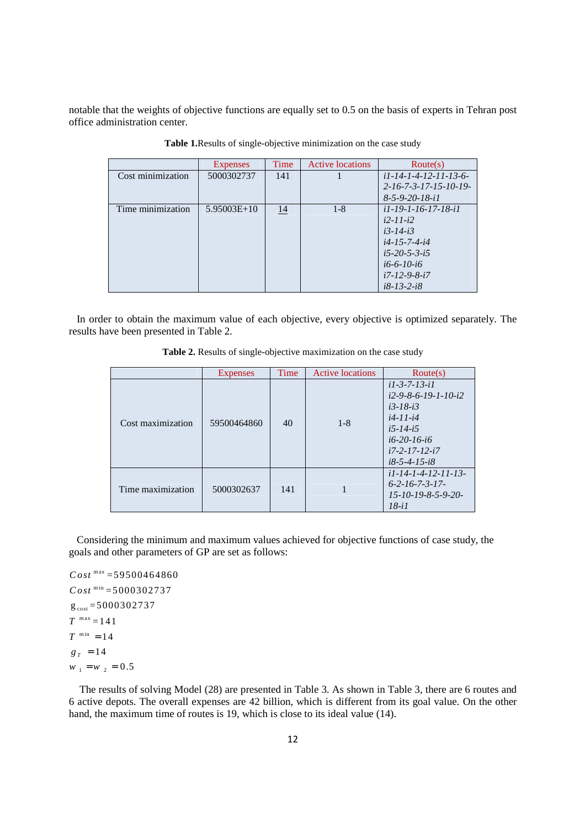notable that the weights of objective functions are equally set to 0.5 on the basis of experts in Tehran post office administration center.

|                   | <b>Expenses</b> | Time      | <b>Active locations</b> | $\text{Route}(s)$                    |
|-------------------|-----------------|-----------|-------------------------|--------------------------------------|
| Cost minimization | 5000302737      | 141       |                         | $i1 - 14 - 1 - 4 - 12 - 11 - 13 - 6$ |
|                   |                 |           |                         | $2 - 16 - 7 - 3 - 17 - 15 - 10 - 19$ |
|                   |                 |           |                         | $8-5-9-20-18-i1$                     |
| Time minimization | $5.95003E+10$   | <u>14</u> | $1 - 8$                 | <i>i</i> 1-19-1-16-17-18- <i>i</i> 1 |
|                   |                 |           |                         | $i2 - 11 - i2$                       |
|                   |                 |           |                         | $i3 - 14 - i3$                       |
|                   |                 |           |                         | $i4 - 15 - 7 - 4 - i4$               |
|                   |                 |           |                         | $i5 - 20 - 5 - 3 - i5$               |
|                   |                 |           |                         | $i6-6-10-i6$                         |
|                   |                 |           |                         | $i7 - 12 - 9 - 8 - i7$               |
|                   |                 |           |                         | $i8-13-2-i8$                         |

**Table 1.**Results of single-objective minimization on the case study

In order to obtain the maximum value of each objective, every objective is optimized separately. The results have been presented in Table 2.

|  |  |  |  | Table 2. Results of single-objective maximization on the case study |  |  |
|--|--|--|--|---------------------------------------------------------------------|--|--|
|--|--|--|--|---------------------------------------------------------------------|--|--|

|                   | <b>Expenses</b> | Time | <b>Active locations</b> | Route(s)                                                                                                                                    |
|-------------------|-----------------|------|-------------------------|---------------------------------------------------------------------------------------------------------------------------------------------|
| Cost maximization | 59500464860     | 40   | $1 - 8$                 | $i1-3-7-13-i1$<br>$i2-9-8-6-19-1-10-i2$<br>$i3-18-i3$<br>$i4-11-i4$<br>$i5 - 14 - i5$<br>$i6-20-16-i6$<br>$i7-2-17-12-i7$<br>$i8-5-4-15-i8$ |
| Time maximization | 5000302637      | 141  |                         | $i1$ -14-1-4-12-11-13-<br>$6 - 2 - 16 - 7 - 3 - 17$<br>$15 - 10 - 19 - 8 - 5 - 9 - 20$<br>$18 - i1$                                         |

 Considering the minimum and maximum values achieved for objective functions of case study, the goals and other parameters of GP are set as follows:

 $Cost^{max} = 59500464860$  $Cost^{min} = 5000302737$  $g_{\text{cost}} = 5000302737$  $T^{-\max} = 141$  $T^{\min} = 14$  $w_1 = w_2 = 0.5$  $g_T = 14$ 

 The results of solving Model (28) are presented in Table 3. As shown in Table 3, there are 6 routes and 6 active depots. The overall expenses are 42 billion, which is different from its goal value. On the other hand, the maximum time of routes is 19, which is close to its ideal value (14).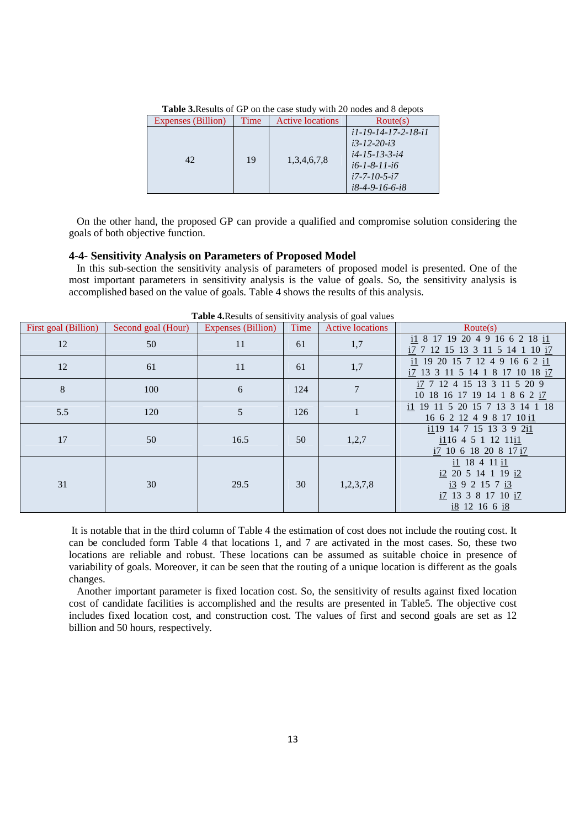| Expenses (Billion) | Time | <b>Active locations</b> | Route(s)                                                                                                                 |
|--------------------|------|-------------------------|--------------------------------------------------------------------------------------------------------------------------|
| 42                 | 19   | 1,3,4,6,7,8             | $i1-19-14-17-2-18-i1$<br>$i3 - 12 - 20 - i3$<br>$i4$ -15-13-3-i4<br>$i6-1-8-11-i6$<br>$i7-7-10-5-i7$<br>$i8-4-9-16-6-i8$ |

**Table 3.**Results of GP on the case study with 20 nodes and 8 depots

 On the other hand, the proposed GP can provide a qualified and compromise solution considering the goals of both objective function.

## **4-4- Sensitivity Analysis on Parameters of Proposed Model**

 In this sub-section the sensitivity analysis of parameters of proposed model is presented. One of the most important parameters in sensitivity analysis is the value of goals. So, the sensitivity analysis is accomplished based on the value of goals. Table 4 shows the results of this analysis.

| First goal (Billion) | Second goal (Hour) | Expenses (Billion) | Time | <b>Active locations</b> | Route(s)                                                                                |
|----------------------|--------------------|--------------------|------|-------------------------|-----------------------------------------------------------------------------------------|
| 12                   | 50                 | 11                 | 61   | 1,7                     | il 8 17 19 20 4 9 16 6 2 18 il<br>i7 7 12 15 13 3 11 5 14 1 10 i7                       |
| 12                   | 61                 | 11                 | 61   | 1,7                     | il 19 20 15 7 12 4 9 16 6 2 il<br>i7 13 3 11 5 14 1 8 17 10 18 i7                       |
| 8                    | 100                | 6                  | 124  | $\overline{7}$          | i7 7 12 4 15 13 3 11 5 20 9<br>10 18 16 17 19 14 1 8 6 2 i7                             |
| 5.5                  | 120                | 5                  | 126  | $\mathbf{1}$            | i1 19 11 5 20 15 7 13 3 14 1 18<br>16 6 2 12 4 9 8 17 10 i1                             |
| 17                   | 50                 | 16.5               | 50   | 1,2,7                   | i119 14 7 15 13 3 9 2i1<br>$i116$ 4 5 1 12 11 $i1$<br>i7 10 6 18 20 8 17 i7             |
| 31                   | 30                 | 29.5               | 30   | 1,2,3,7,8               | i1 18 4 11 i1<br>i2 20 5 14 1 19 i2<br>i392157i3<br>i7 13 3 8 17 10 i7<br>i8 12 16 6 i8 |

**Table 4.**Results of sensitivity analysis of goal values

 It is notable that in the third column of Table 4 the estimation of cost does not include the routing cost. It can be concluded form Table 4 that locations 1, and 7 are activated in the most cases. So, these two locations are reliable and robust. These locations can be assumed as suitable choice in presence of variability of goals. Moreover, it can be seen that the routing of a unique location is different as the goals changes.

 Another important parameter is fixed location cost. So, the sensitivity of results against fixed location cost of candidate facilities is accomplished and the results are presented in Table5. The objective cost includes fixed location cost, and construction cost. The values of first and second goals are set as 12 billion and 50 hours, respectively.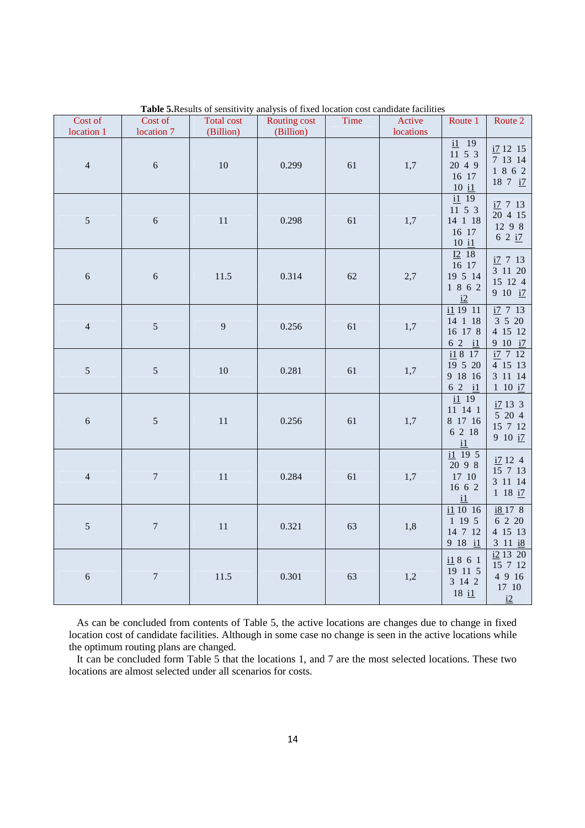| Cost of<br>location 1 | Cost of<br>location 7 | <b>Total cost</b><br>(Billion) | <b>Routing cost</b><br>(Billion) | Time | Active<br>locations | Route 1                                                                           | Route 2                                                              |
|-----------------------|-----------------------|--------------------------------|----------------------------------|------|---------------------|-----------------------------------------------------------------------------------|----------------------------------------------------------------------|
| $\overline{4}$        | $\sqrt{6}$            | 10                             | 0.299                            | 61   | 1,7                 | $\underline{i1}$ 19<br>11 5 3<br>20 4 9<br>16 17<br>$10$ $11$                     | i71215<br>7 13 14<br>1 8 6 2<br>18 7 i7                              |
| $\sqrt{5}$            | $\sqrt{6}$            | $11\,$                         | 0.298                            | 61   | 1,7                 | $\underline{\text{i}1}$ 19<br>11 5 3<br>14 1 18<br>16 17<br>$10$ $\underline{i1}$ | $i7$ 7 13<br>20 4 15<br>12 9 8<br>62 i7                              |
| $\sqrt{6}$            | $\sqrt{6}$            | 11.5                           | 0.314                            | 62   | 2,7                 | $\underline{I2}$ 18<br>16 17<br>19 5 14<br>1 8 6 2<br>i2                          | $i7$ 7 13<br>3 11 20<br>15 12 4<br>9 10 i7                           |
| $\sqrt{4}$            | $\sqrt{5}$            | 9                              | 0.256                            | 61   | 1,7                 | $i1$ 19 11<br>14 1 18<br>16 17 8<br>6 2 il                                        | i7 7 13<br>3 5 20<br>4 15 12<br>9 10 $\frac{17}{2}$                  |
| $\mathfrak{S}$        | $5\,$                 | 10                             | 0.281                            | 61   | 1,7                 | i1817<br>19 5 20<br>9 18 16<br>$62 \quad 11$                                      | $\frac{17}{2}$ 7 12<br>4 15 13<br>3 11 14<br>$1\ 10\ \underline{17}$ |
| $\sqrt{6}$            | $\sqrt{5}$            | $11\,$                         | 0.256                            | 61   | 1,7                 | $\overline{11}$ 19<br>11 14 1<br>8 17 16<br>6 2 18<br>$\underline{\mathrm{i1}}$   | i7133<br>$5\,$ 20 $\,4$<br>15 7 12<br>910 i7                         |
| $\overline{4}$        | $\boldsymbol{7}$      | $11\,$                         | 0.284                            | 61   | 1,7                 | i1 19 5<br>20 9 8<br>17 10<br>16 6 2<br>$\underline{\mathbf{i}}$                  | i7124<br>15 7 13<br>3 11 14<br>$1 \t18 \t17$                         |
| $\sqrt{5}$            | $\boldsymbol{7}$      | $11\,$                         | 0.321                            | 63   | 1,8                 | $i1$ 10 16<br>1 19 5<br>14 7 12<br>9 18 il                                        | $i8$ 17 8<br>6 2 20<br>4 15 13<br>311 i8                             |
| $\sqrt{6}$            | $\boldsymbol{7}$      | 11.5                           | 0.301                            | 63   | 1,2                 | i1861<br>19 11 5<br>3 14 2<br>$18$ $\underline{i1}$                               | i2 13 20<br>15 7 12<br>4 9 16<br>$17\hphantom{1}10$<br>i2            |

**Table 5.**Results of sensitivity analysis of fixed location cost candidate facilities

 As can be concluded from contents of Table 5, the active locations are changes due to change in fixed location cost of candidate facilities. Although in some case no change is seen in the active locations while the optimum routing plans are changed.

 It can be concluded form Table 5 that the locations 1, and 7 are the most selected locations. These two locations are almost selected under all scenarios for costs.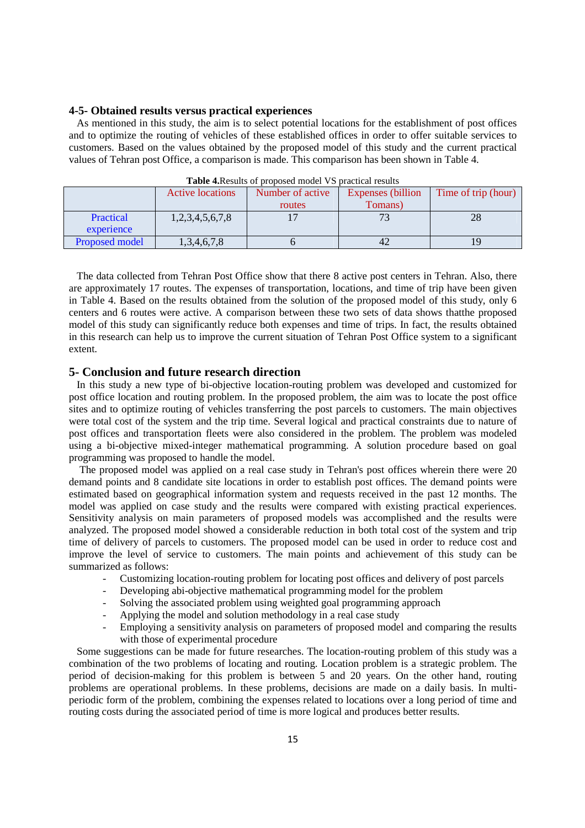#### **4-5- Obtained results versus practical experiences**

 As mentioned in this study, the aim is to select potential locations for the establishment of post offices and to optimize the routing of vehicles of these established offices in order to offer suitable services to customers. Based on the values obtained by the proposed model of this study and the current practical values of Tehran post Office, a comparison is made. This comparison has been shown in Table 4.

|                | Active locations | Number of active | <b>Expenses</b> (billion | Time of trip (hour) |  |  |  |  |
|----------------|------------------|------------------|--------------------------|---------------------|--|--|--|--|
|                |                  | routes           | Tomans)                  |                     |  |  |  |  |
| Practical      | 1,2,3,4,5,6,7,8  |                  |                          | 28                  |  |  |  |  |
| experience     |                  |                  |                          |                     |  |  |  |  |
| Proposed model | 1,3,4,6,7,8      |                  | 42                       | 19                  |  |  |  |  |

**Table 4.**Results of proposed model VS practical results

 The data collected from Tehran Post Office show that there 8 active post centers in Tehran. Also, there are approximately 17 routes. The expenses of transportation, locations, and time of trip have been given in Table 4. Based on the results obtained from the solution of the proposed model of this study, only 6 centers and 6 routes were active. A comparison between these two sets of data shows thatthe proposed model of this study can significantly reduce both expenses and time of trips. In fact, the results obtained in this research can help us to improve the current situation of Tehran Post Office system to a significant extent.

# **5- Conclusion and future research direction**

 In this study a new type of bi-objective location-routing problem was developed and customized for post office location and routing problem. In the proposed problem, the aim was to locate the post office sites and to optimize routing of vehicles transferring the post parcels to customers. The main objectives were total cost of the system and the trip time. Several logical and practical constraints due to nature of post offices and transportation fleets were also considered in the problem. The problem was modeled using a bi-objective mixed-integer mathematical programming. A solution procedure based on goal programming was proposed to handle the model.

 The proposed model was applied on a real case study in Tehran's post offices wherein there were 20 demand points and 8 candidate site locations in order to establish post offices. The demand points were estimated based on geographical information system and requests received in the past 12 months. The model was applied on case study and the results were compared with existing practical experiences. Sensitivity analysis on main parameters of proposed models was accomplished and the results were analyzed. The proposed model showed a considerable reduction in both total cost of the system and trip time of delivery of parcels to customers. The proposed model can be used in order to reduce cost and improve the level of service to customers. The main points and achievement of this study can be summarized as follows:

- Customizing location-routing problem for locating post offices and delivery of post parcels
- Developing abi-objective mathematical programming model for the problem
- Solving the associated problem using weighted goal programming approach
- Applying the model and solution methodology in a real case study
- Employing a sensitivity analysis on parameters of proposed model and comparing the results with those of experimental procedure

 Some suggestions can be made for future researches. The location-routing problem of this study was a combination of the two problems of locating and routing. Location problem is a strategic problem. The period of decision-making for this problem is between 5 and 20 years. On the other hand, routing problems are operational problems. In these problems, decisions are made on a daily basis. In multiperiodic form of the problem, combining the expenses related to locations over a long period of time and routing costs during the associated period of time is more logical and produces better results.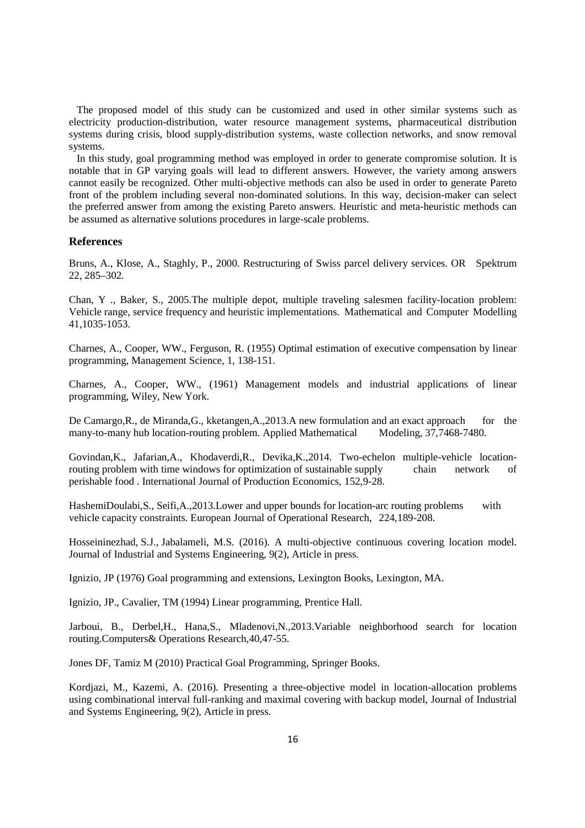The proposed model of this study can be customized and used in other similar systems such as electricity production-distribution, water resource management systems, pharmaceutical distribution systems during crisis, blood supply-distribution systems, waste collection networks, and snow removal systems.

 In this study, goal programming method was employed in order to generate compromise solution. It is notable that in GP varying goals will lead to different answers. However, the variety among answers cannot easily be recognized. Other multi-objective methods can also be used in order to generate Pareto front of the problem including several non-dominated solutions. In this way, decision-maker can select the preferred answer from among the existing Pareto answers. Heuristic and meta-heuristic methods can be assumed as alternative solutions procedures in large-scale problems.

# **References**

Bruns, A., Klose, A., Staghly, P., 2000. Restructuring of Swiss parcel delivery services. OR Spektrum 22, 285–302.

Chan, Y ., Baker, S., 2005.The multiple depot, multiple traveling salesmen facility-location problem: Vehicle range, service frequency and heuristic implementations. Mathematical and Computer Modelling 41,1035-1053.

Charnes, A., Cooper, WW., Ferguson, R. (1955) Optimal estimation of executive compensation by linear programming, Management Science, 1, 138-151.

Charnes, A., Cooper, WW., (1961) Management models and industrial applications of linear programming, Wiley, New York.

De Camargo, R., de Miranda, G., kketangen, A., 2013. A new formulation and an exact approach for the many-to-many hub location-routing problem. Applied Mathematical Modeling, 37,7468-7480.

Govindan,K., Jafarian,A., Khodaverdi,R., Devika,K.,2014. Two-echelon multiple-vehicle locationrouting problem with time windows for optimization of sustainable supply chain network of perishable food . International Journal of Production Economics, 152,9-28.

HashemiDoulabi,S., Seifi,A.,2013.Lower and upper bounds for location-arc routing problems with vehicle capacity constraints. European Journal of Operational Research, 224,189-208.

Hosseininezhad, S.J., Jabalameli, M.S. (2016). A multi-objective continuous covering location model. Journal of Industrial and Systems Engineering, 9(2), Article in press.

Ignizio, JP (1976) Goal programming and extensions, Lexington Books, Lexington, MA.

Ignizio, JP., Cavalier, TM (1994) Linear programming, Prentice Hall.

Jarboui, B., Derbel,H., Hana,S., Mladenovi,N.,2013.Variable neighborhood search for location routing.Computers& Operations Research,40,47-55.

Jones DF, Tamiz M (2010) Practical Goal Programming, Springer Books.

Kordjazi, M., Kazemi, A. (2016). Presenting a three-objective model in location-allocation problems using combinational interval full-ranking and maximal covering with backup model, Journal of Industrial and Systems Engineering, 9(2), Article in press.